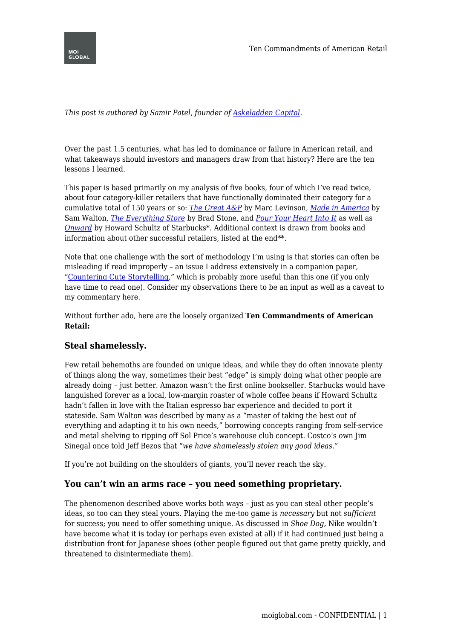

*This post is authored by Samir Patel, founder of <i>[Askeladden Capital](http://www.askeladdencapital.com)*.

Over the past 1.5 centuries, what has led to dominance or failure in American retail, and what takeaways should investors and managers draw from that history? Here are the ten lessons I learned.

This paper is based primarily on my analysis of five books, four of which I've read twice, about four category-killer retailers that have functionally dominated their category for a cumulative total of 150 years or so: *[The Great A&P](http://amzn.to/2vWlXFv)* by Marc Levinson, *[Made in America](http://amzn.to/2uLiX00)* by Sam Walton, *[The Everything Store](http://amzn.to/2vk4c5O)* by Brad Stone, and *[Pour Your Heart Into It](http://amzn.to/2v9Df4j)* as well as *[Onward](http://amzn.to/2v9F7u3)* by Howard Schultz of Starbucks\*. Additional context is drawn from books and information about other successful retailers, listed at the end<sup>\*\*</sup>.

Note that one challenge with the sort of methodology I'm using is that stories can often be misleading if read improperly – an issue I address extensively in a companion paper, "[Countering Cute Storytelling](http://www.askeladdencapital.com/countering-cute-storytelling/)," which is probably more useful than this one (if you only have time to read one). Consider my observations there to be an input as well as a caveat to my commentary here.

Without further ado, here are the loosely organized **Ten Commandments of American Retail:**

#### **Steal shamelessly.**

Few retail behemoths are founded on unique ideas, and while they do often innovate plenty of things along the way, sometimes their best "edge" is simply doing what other people are already doing – just better. Amazon wasn't the first online bookseller. Starbucks would have languished forever as a local, low-margin roaster of whole coffee beans if Howard Schultz hadn't fallen in love with the Italian espresso bar experience and decided to port it stateside. Sam Walton was described by many as a "master of taking the best out of everything and adapting it to his own needs," borrowing concepts ranging from self-service and metal shelving to ripping off Sol Price's warehouse club concept. Costco's own Jim Sinegal once told Jeff Bezos that *"we have shamelessly stolen any good ideas."*

If you're not building on the shoulders of giants, you'll never reach the sky.

#### **You can't win an arms race – you need something proprietary.**

The phenomenon described above works both ways – just as you can steal other people's ideas, so too can they steal yours. Playing the me-too game is *necessary* but not *sufficient* for success; you need to offer something unique. As discussed in *Shoe Dog,* Nike wouldn't have become what it is today (or perhaps even existed at all) if it had continued just being a distribution front for Japanese shoes (other people figured out that game pretty quickly, and threatened to disintermediate them).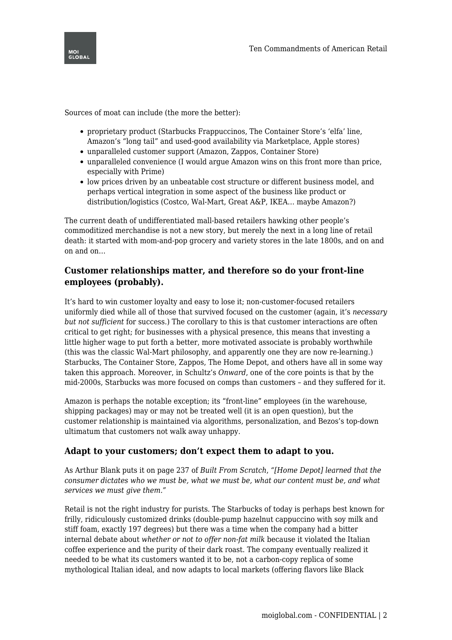

Sources of moat can include (the more the better):

- proprietary product (Starbucks Frappuccinos, The Container Store's 'elfa' line, Amazon's "long tail" and used-good availability via Marketplace, Apple stores)
- unparalleled customer support (Amazon, Zappos, Container Store)
- unparalleled convenience (I would argue Amazon wins on this front more than price, especially with Prime)
- low prices driven by an unbeatable cost structure or different business model, and perhaps vertical integration in some aspect of the business like product or distribution/logistics (Costco, Wal-Mart, Great A&P, IKEA… maybe Amazon?)

The current death of undifferentiated mall-based retailers hawking other people's commoditized merchandise is not a new story, but merely the next in a long line of retail death: it started with mom-and-pop grocery and variety stores in the late 1800s, and on and on and on…

### **Customer relationships matter, and therefore so do your front-line employees (probably).**

It's hard to win customer loyalty and easy to lose it; non-customer-focused retailers uniformly died while all of those that survived focused on the customer (again, it's *necessary but not sufficient* for success.) The corollary to this is that customer interactions are often critical to get right; for businesses with a physical presence, this means that investing a little higher wage to put forth a better, more motivated associate is probably worthwhile (this was the classic Wal-Mart philosophy, and apparently one they are now re-learning.) Starbucks, The Container Store, Zappos, The Home Depot, and others have all in some way taken this approach. Moreover, in Schultz's *Onward*, one of the core points is that by the mid-2000s, Starbucks was more focused on comps than customers – and they suffered for it.

Amazon is perhaps the notable exception; its "front-line" employees (in the warehouse, shipping packages) may or may not be treated well (it is an open question), but the customer relationship is maintained via algorithms, personalization, and Bezos's top-down ultimatum that customers not walk away unhappy.

#### **Adapt to your customers; don't expect them to adapt to you.**

As Arthur Blank puts it on page 237 of *Built From Scratch*, *"[Home Depot] learned that the consumer dictates who we must be, what we must be, what our content must be, and what services we must give them."*

Retail is not the right industry for purists. The Starbucks of today is perhaps best known for frilly, ridiculously customized drinks (double-pump hazelnut cappuccino with soy milk and stiff foam, exactly 197 degrees) but there was a time when the company had a bitter internal debate about *whether or not to offer non-fat milk* because it violated the Italian coffee experience and the purity of their dark roast. The company eventually realized it needed to be what its customers wanted it to be, not a carbon-copy replica of some mythological Italian ideal, and now adapts to local markets (offering flavors like Black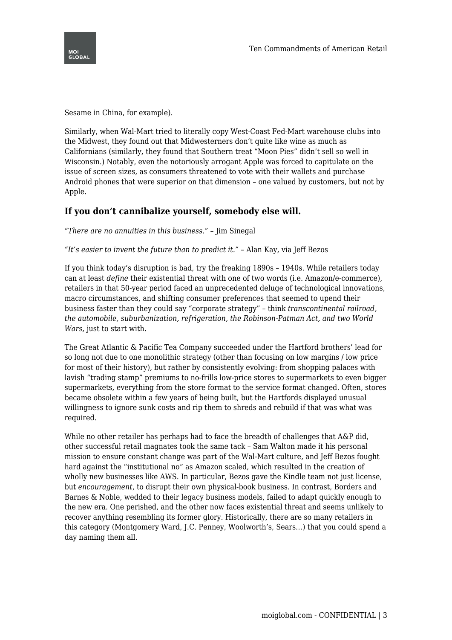



Sesame in China, for example).

Similarly, when Wal-Mart tried to literally copy West-Coast Fed-Mart warehouse clubs into the Midwest, they found out that Midwesterners don't quite like wine as much as Californians (similarly, they found that Southern treat "Moon Pies" didn't sell so well in Wisconsin.) Notably, even the notoriously arrogant Apple was forced to capitulate on the issue of screen sizes, as consumers threatened to vote with their wallets and purchase Android phones that were superior on that dimension – one valued by customers, but not by Apple.

#### **If you don't cannibalize yourself, somebody else will.**

*"There are no annuities in this business."* – Jim Sinegal

*"It's easier to invent the future than to predict it."* – Alan Kay, via Jeff Bezos

If you think today's disruption is bad, try the freaking 1890s – 1940s. While retailers today can at least *define* their existential threat with one of two words (i.e. Amazon/e-commerce), retailers in that 50-year period faced an unprecedented deluge of technological innovations, macro circumstances, and shifting consumer preferences that seemed to upend their business faster than they could say "corporate strategy" – think *transcontinental railroad, the automobile, suburbanization, refrigeration, the Robinson-Patman Act, and two World Wars,* just to start with.

The Great Atlantic & Pacific Tea Company succeeded under the Hartford brothers' lead for so long not due to one monolithic strategy (other than focusing on low margins / low price for most of their history), but rather by consistently evolving: from shopping palaces with lavish "trading stamp" premiums to no-frills low-price stores to supermarkets to even bigger supermarkets, everything from the store format to the service format changed. Often, stores became obsolete within a few years of being built, but the Hartfords displayed unusual willingness to ignore sunk costs and rip them to shreds and rebuild if that was what was required.

While no other retailer has perhaps had to face the breadth of challenges that A&P did, other successful retail magnates took the same tack – Sam Walton made it his personal mission to ensure constant change was part of the Wal-Mart culture, and Jeff Bezos fought hard against the "institutional no" as Amazon scaled, which resulted in the creation of wholly new businesses like AWS. In particular, Bezos gave the Kindle team not just license, but *encouragement*, to disrupt their own physical-book business. In contrast, Borders and Barnes & Noble, wedded to their legacy business models, failed to adapt quickly enough to the new era. One perished, and the other now faces existential threat and seems unlikely to recover anything resembling its former glory. Historically, there are so many retailers in this category (Montgomery Ward, J.C. Penney, Woolworth's, Sears…) that you could spend a day naming them all.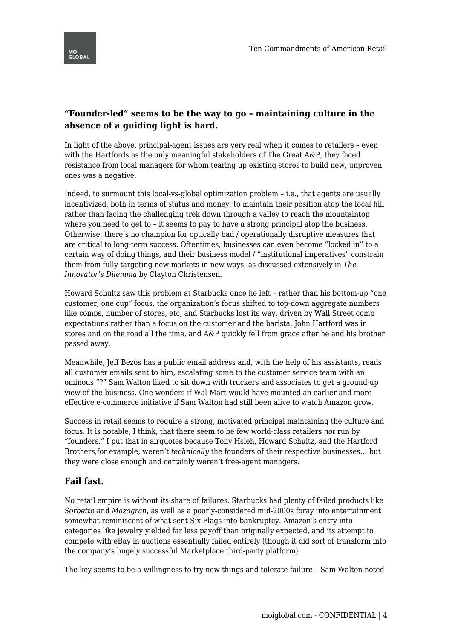# **"Founder-led" seems to be the way to go – maintaining culture in the absence of a guiding light is hard.**

In light of the above, principal-agent issues are very real when it comes to retailers – even with the Hartfords as the only meaningful stakeholders of The Great A&P, they faced resistance from local managers for whom tearing up existing stores to build new, unproven ones was a negative.

Indeed, to surmount this local-vs-global optimization problem – i.e., that agents are usually incentivized, both in terms of status and money, to maintain their position atop the local hill rather than facing the challenging trek down through a valley to reach the mountaintop where you need to get to – it seems to pay to have a strong principal atop the business. Otherwise, there's no champion for optically bad / operationally disruptive measures that are critical to long-term success. Oftentimes, businesses can even become "locked in" to a certain way of doing things, and their business model / "institutional imperatives" constrain them from fully targeting new markets in new ways, as discussed extensively in *The Innovator's Dilemma* by Clayton Christensen.

Howard Schultz saw this problem at Starbucks once he left – rather than his bottom-up "one customer, one cup" focus, the organization's focus shifted to top-down aggregate numbers like comps, number of stores, etc, and Starbucks lost its way, driven by Wall Street comp expectations rather than a focus on the customer and the barista. John Hartford was in stores and on the road all the time, and A&P quickly fell from grace after he and his brother passed away.

Meanwhile, Jeff Bezos has a public email address and, with the help of his assistants, reads all customer emails sent to him, escalating some to the customer service team with an ominous "?" Sam Walton liked to sit down with truckers and associates to get a ground-up view of the business. One wonders if Wal-Mart would have mounted an earlier and more effective e-commerce initiative if Sam Walton had still been alive to watch Amazon grow.

Success in retail seems to require a strong, motivated principal maintaining the culture and focus. It is notable, I think, that there seem to be few world-class retailers *not* run by "founders." I put that in airquotes because Tony Hsieh, Howard Schultz, and the Hartford Brothers,for example, weren't *technically* the founders of their respective businesses… but they were close enough and certainly weren't free-agent managers.

## **Fail fast.**

No retail empire is without its share of failures. Starbucks had plenty of failed products like *Sorbetto* and *Mazagran*, as well as a poorly-considered mid-2000s foray into entertainment somewhat reminiscent of what sent Six Flags into bankruptcy. Amazon's entry into categories like jewelry yielded far less payoff than originally expected, and its attempt to compete with eBay in auctions essentially failed entirely (though it did sort of transform into the company's hugely successful Marketplace third-party platform).

The key seems to be a willingness to try new things and tolerate failure – Sam Walton noted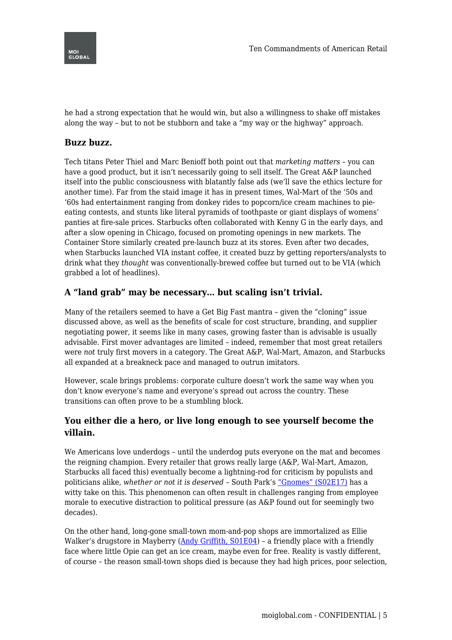

he had a strong expectation that he would win, but also a willingness to shake off mistakes along the way – but to not be stubborn and take a "my way or the highway" approach.

## **Buzz buzz.**

Tech titans Peter Thiel and Marc Benioff both point out that *marketing matters* – you can have a good product, but it isn't necessarily going to sell itself. The Great A&P launched itself into the public consciousness with blatantly false ads (we'll save the ethics lecture for another time). Far from the staid image it has in present times, Wal-Mart of the '50s and '60s had entertainment ranging from donkey rides to popcorn/ice cream machines to pieeating contests, and stunts like literal pyramids of toothpaste or giant displays of womens' panties at fire-sale prices. Starbucks often collaborated with Kenny G in the early days, and after a slow opening in Chicago, focused on promoting openings in new markets. The Container Store similarly created pre-launch buzz at its stores. Even after two decades, when Starbucks launched VIA instant coffee, it created buzz by getting reporters/analysts to drink what they *thought* was conventionally-brewed coffee but turned out to be VIA (which grabbed a lot of headlines).

# **A "land grab" may be necessary… but scaling isn't trivial.**

Many of the retailers seemed to have a Get Big Fast mantra – given the "cloning" issue discussed above, as well as the benefits of scale for cost structure, branding, and supplier negotiating power, it seems like in many cases, growing faster than is advisable is usually advisable. First mover advantages are limited – indeed, remember that most great retailers were *not* truly first movers in a category. The Great A&P, Wal-Mart, Amazon, and Starbucks all expanded at a breakneck pace and managed to outrun imitators.

However, scale brings problems: corporate culture doesn't work the same way when you don't know everyone's name and everyone's spread out across the country. These transitions can often prove to be a stumbling block.

## **You either die a hero, or live long enough to see yourself become the villain.**

We Americans love underdogs – until the underdog puts everyone on the mat and becomes the reigning champion. Every retailer that grows really large (A&P, Wal-Mart, Amazon, Starbucks all faced this) eventually become a lightning-rod for criticism by populists and politicians alike, *whether or not it is deserved* – South Park's ["Gnomes" \(S02E17\)](http://southpark.cc.com/full-episodes/s02e17-gnomes) has a witty take on this. This phenomenon can often result in challenges ranging from employee morale to executive distraction to political pressure (as A&P found out for seemingly two decades).

On the other hand, long-gone small-town mom-and-pop shops are immortalized as Ellie Walker's drugstore in Mayberry (Andy Griffith,  $S01E04$ ) – a friendly place with a friendly face where little Opie can get an ice cream, maybe even for free. Reality is vastly different, of course – the reason small-town shops died is because they had high prices, poor selection,